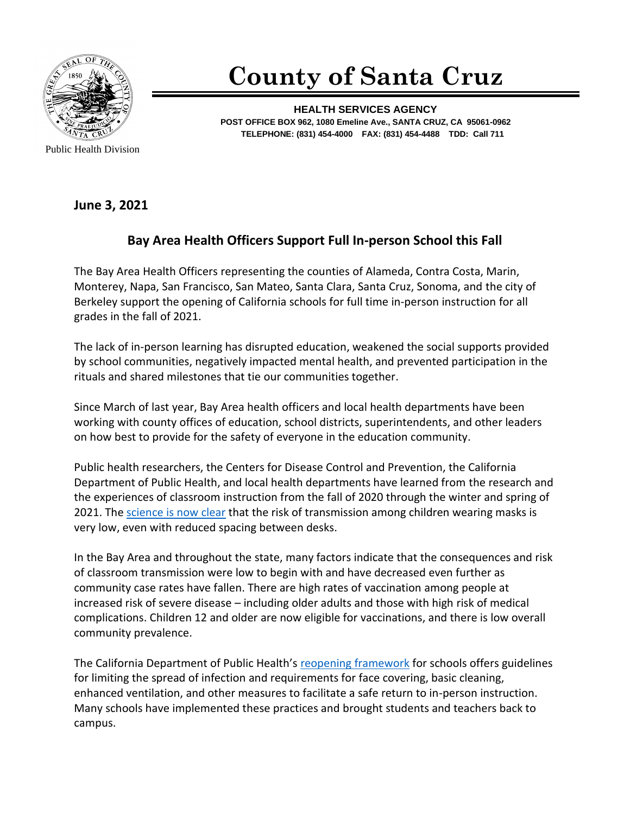

**County of Santa Cruz**

**HEALTH SERVICES AGENCY POST OFFICE BOX 962, 1080 Emeline Ave., SANTA CRUZ, CA 95061-0962 TELEPHONE: (831) 454-4000 FAX: (831) 454-4488 TDD: Call 711**

**June 3, 2021**

## **Bay Area Health Officers Support Full In-person School this Fall**

The Bay Area Health Officers representing the counties of Alameda, Contra Costa, Marin, Monterey, Napa, San Francisco, San Mateo, Santa Clara, Santa Cruz, Sonoma, and the city of Berkeley support the opening of California schools for full time in-person instruction for all grades in the fall of 2021.

The lack of in-person learning has disrupted education, weakened the social supports provided by school communities, negatively impacted mental health, and prevented participation in the rituals and shared milestones that tie our communities together.

Since March of last year, Bay Area health officers and local health departments have been working with county offices of education, school districts, superintendents, and other leaders on how best to provide for the safety of everyone in the education community.

Public health researchers, the Centers for Disease Control and Prevention, the California Department of Public Health, and local health departments have learned from the research and the experiences of classroom instruction from the fall of 2020 through the winter and spring of 2021. The [science is now clear](https://www.cdc.gov/coronavirus/2019-ncov/science/science-briefs/transmission_k_12_schools.html) that the risk of transmission among children wearing masks is very low, even with reduced spacing between desks.

In the Bay Area and throughout the state, many factors indicate that the consequences and risk of classroom transmission were low to begin with and have decreased even further as community case rates have fallen. There are high rates of vaccination among people at increased risk of severe disease – including older adults and those with high risk of medical complications. Children 12 and older are now eligible for vaccinations, and there is low overall community prevalence.

The California Department of Public Health's reopening [framework](https://www.cdph.ca.gov/Programs/CID/DCDC/Pages/COVID-19/COVID19-K12-Schools-InPerson-Instruction.aspx) for schools offers guidelines for limiting the spread of infection and requirements for face covering, basic cleaning, enhanced ventilation, and other measures to facilitate a safe return to in-person instruction. Many schools have implemented these practices and brought students and teachers back to campus.